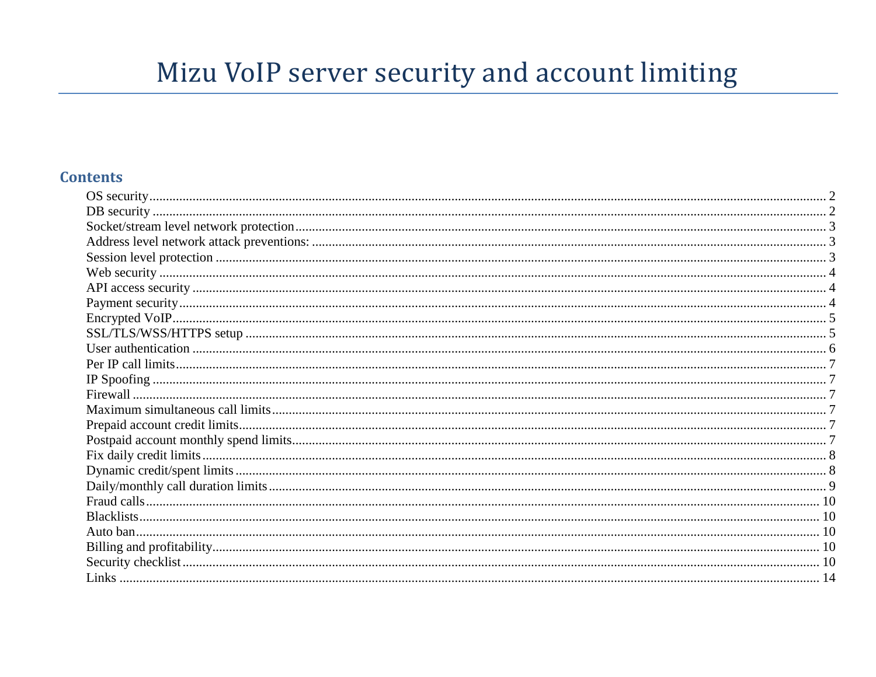# Mizu VoIP server security and account limiting

#### **Contents**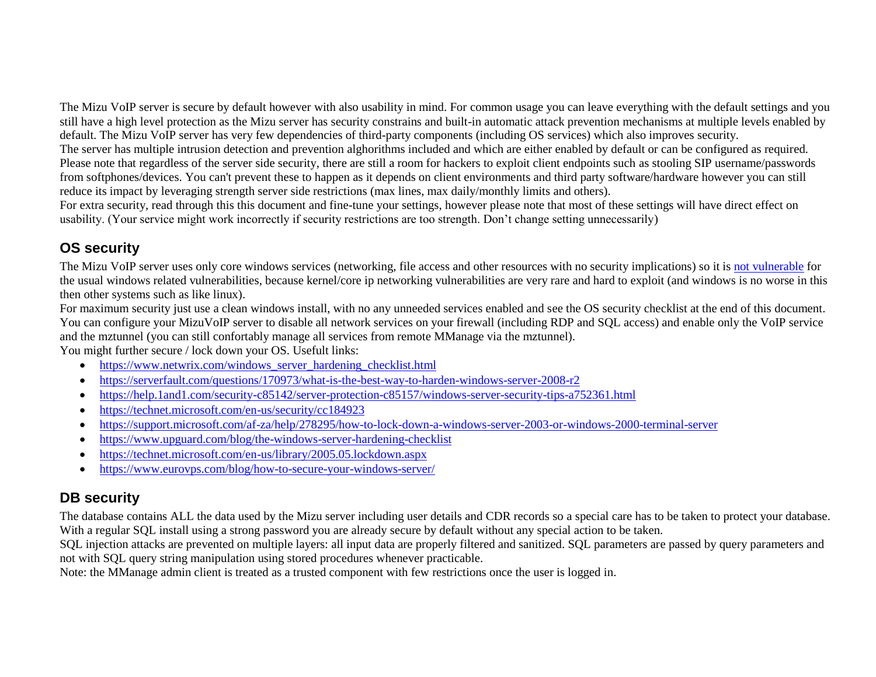The Mizu VoIP server is secure by default however with also usability in mind. For common usage you can leave everything with the default settings and you still have a high level protection as the Mizu server has security constrains and built-in automatic attack prevention mechanisms at multiple levels enabled by default. The Mizu VoIP server has very few dependencies of third-party components (including OS services) which also improves security.

The server has multiple intrusion detection and prevention alghorithms included and which are either enabled by default or can be configured as required. Please note that regardless of the server side security, there are still a room for hackers to exploit client endpoints such as stooling SIP username/passwords from softphones/devices. You can't prevent these to happen as it depends on client environments and third party software/hardware however you can still reduce its impact by leveraging strength server side restrictions (max lines, max daily/monthly limits and others).

For extra security, read through this this document and fine-tune your settings, however please note that most of these settings will have direct effect on usability. (Your service might work incorrectly if security restrictions are too strength. Don't change setting unnecessarily)

#### <span id="page-1-0"></span>**OS security**

The Mizu VoIP server uses only core windows services (networking, file access and other resources with no security implications) so it is [not vulnerable](https://www.mizu-voip.com/Support/Blog/tabid/100/EntryID/8/Default.aspx) for the usual windows related vulnerabilities, because kernel/core ip networking vulnerabilities are very rare and hard to exploit (and windows is no worse in this then other systems such as like linux).

For maximum security just use a clean windows install, with no any unneeded services enabled and see the OS security checklist at the end of this document. You can configure your MizuVoIP server to disable all network services on your firewall (including RDP and SQL access) and enable only the VoIP service and the mztunnel (you can still confortably manage all services from remote MManage via the mztunnel). You might further secure / lock down your OS. Usefult links:

- [https://www.netwrix.com/windows\\_server\\_hardening\\_checklist.html](https://www.netwrix.com/windows_server_hardening_checklist.html)
- <https://serverfault.com/questions/170973/what-is-the-best-way-to-harden-windows-server-2008-r2>
- <https://help.1and1.com/security-c85142/server-protection-c85157/windows-server-security-tips-a752361.html>
- <https://technet.microsoft.com/en-us/security/cc184923>
- <https://support.microsoft.com/af-za/help/278295/how-to-lock-down-a-windows-server-2003-or-windows-2000-terminal-server>
- <https://www.upguard.com/blog/the-windows-server-hardening-checklist>
- <https://technet.microsoft.com/en-us/library/2005.05.lockdown.aspx>
- <https://www.eurovps.com/blog/how-to-secure-your-windows-server/>

#### <span id="page-1-1"></span>**DB security**

The database contains ALL the data used by the Mizu server including user details and CDR records so a special care has to be taken to protect your database. With a regular SQL install using a strong password you are already secure by default without any special action to be taken.

SQL injection attacks are prevented on multiple layers: all input data are properly filtered and sanitized. SQL parameters are passed by query parameters and not with SQL query string manipulation using stored procedures whenever practicable.

Note: the MManage admin client is treated as a trusted component with few restrictions once the user is logged in.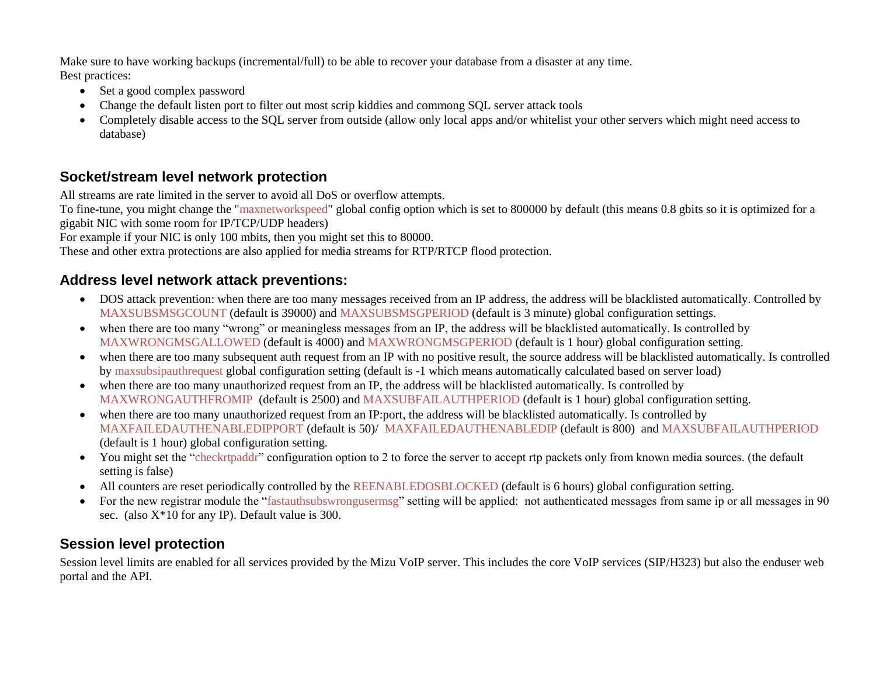Make sure to have working backups (incremental/full) to be able to recover your database from a disaster at any time. Best practices:

- Set a good complex password
- Change the default listen port to filter out most scrip kiddies and commong SQL server attack tools
- Completely disable access to the SQL server from outside (allow only local apps and/or whitelist your other servers which might need access to database)

#### <span id="page-2-0"></span>**Socket/stream level network protection**

All streams are rate limited in the server to avoid all DoS or overflow attempts.

To fine-tune, you might change the "maxnetworkspeed" global config option which is set to 800000 by default (this means 0.8 gbits so it is optimized for a gigabit NIC with some room for IP/TCP/UDP headers)

For example if your NIC is only 100 mbits, then you might set this to 80000.

These and other extra protections are also applied for media streams for RTP/RTCP flood protection.

#### <span id="page-2-1"></span>**Address level network attack preventions:**

- DOS attack prevention: when there are too many messages received from an IP address, the address will be blacklisted automatically. Controlled by MAXSUBSMSGCOUNT (default is 39000) and MAXSUBSMSGPERIOD (default is 3 minute) global configuration settings.
- when there are too many "wrong" or meaningless messages from an IP, the address will be blacklisted automatically. Is controlled by MAXWRONGMSGALLOWED (default is 4000) and MAXWRONGMSGPERIOD (default is 1 hour) global configuration setting.
- when there are too many subsequent auth request from an IP with no positive result, the source address will be blacklisted automatically. Is controlled by maxsubsipauthrequest global configuration setting (default is -1 which means automatically calculated based on server load)
- when there are too many unauthorized request from an IP, the address will be blacklisted automatically. Is controlled by MAXWRONGAUTHFROMIP (default is 2500) and MAXSUBFAILAUTHPERIOD (default is 1 hour) global configuration setting.
- when there are too many unauthorized request from an IP:port, the address will be blacklisted automatically. Is controlled by MAXFAILEDAUTHENABLEDIPPORT (default is 50)/ MAXFAILEDAUTHENABLEDIP (default is 800) and MAXSUBFAILAUTHPERIOD (default is 1 hour) global configuration setting.
- You might set the "checkrtpaddr" configuration option to 2 to force the server to accept rtp packets only from known media sources. (the default setting is false)
- All counters are reset periodically controlled by the REENABLEDOSBLOCKED (default is 6 hours) global configuration setting.
- For the new registrar module the "fastauthsubswrongusermsg" setting will be applied: not authenticated messages from same ip or all messages in 90 sec. (also X\*10 for any IP). Default value is 300.

## <span id="page-2-2"></span>**Session level protection**

Session level limits are enabled for all services provided by the Mizu VoIP server. This includes the core VoIP services (SIP/H323) but also the enduser web portal and the API.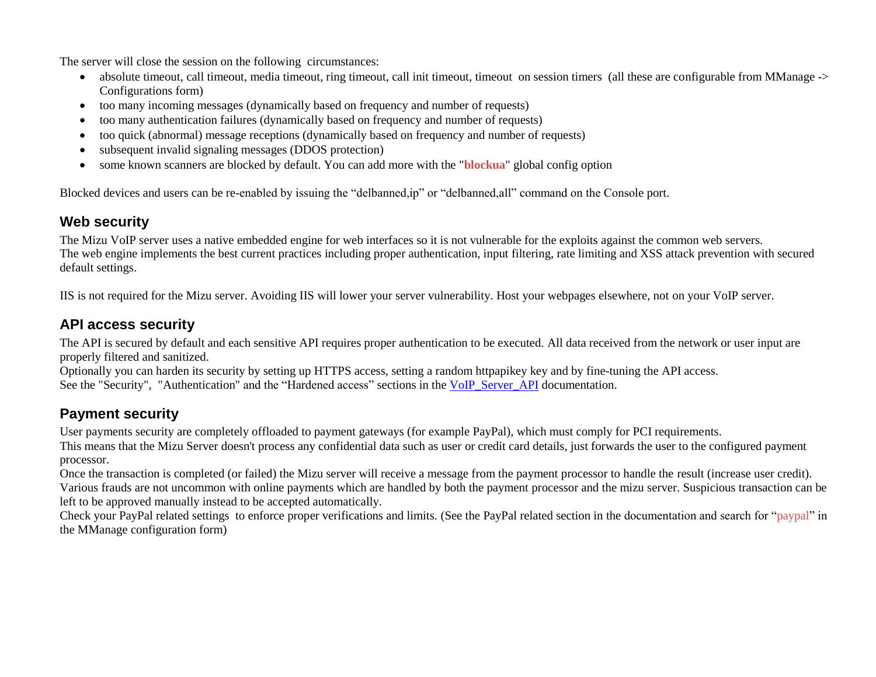The server will close the session on the following circumstances:

- absolute timeout, call timeout, media timeout, ring timeout, call init timeout, timeout on session timers (all these are configurable from MManage -> Configurations form)
- too many incoming messages (dynamically based on frequency and number of requests)
- too many authentication failures (dynamically based on frequency and number of requests)
- too quick (abnormal) message receptions (dynamically based on frequency and number of requests)
- subsequent invalid signaling messages (DDOS protection)
- some known scanners are blocked by default. You can add more with the "**blockua**" global config option

Blocked devices and users can be re-enabled by issuing the "delbanned,ip" or "delbanned,all" command on the Console port.

#### <span id="page-3-0"></span>**Web security**

The Mizu VoIP server uses a native embedded engine for web interfaces so it is not vulnerable for the exploits against the common web servers. The web engine implements the best current practices including proper authentication, input filtering, rate limiting and XSS attack prevention with secured default settings.

IIS is not required for the Mizu server. Avoiding IIS will lower your server vulnerability. Host your webpages elsewhere, not on your VoIP server.

# <span id="page-3-1"></span>**API access security**

The API is secured by default and each sensitive API requires proper authentication to be executed. All data received from the network or user input are properly filtered and sanitized.

Optionally you can harden its security by setting up HTTPS access, setting a random httpapikey key and by fine-tuning the API access. See the "Security", "Authentication" and the "Hardened access" sections in the [VoIP\\_Server\\_API](https://www.mizu-voip.com/LinkClick.aspx?fileticket=q8SQ17cbua4%3d&tabid=176&portalid=0&mid=675) documentation.

# <span id="page-3-2"></span>**Payment security**

User payments security are completely offloaded to payment gateways (for example PayPal), which must comply for PCI requirements.

This means that the Mizu Server doesn't process any confidential data such as user or credit card details, just forwards the user to the configured payment processor.

Once the transaction is completed (or failed) the Mizu server will receive a message from the payment processor to handle the result (increase user credit). Various frauds are not uncommon with online payments which are handled by both the payment processor and the mizu server. Suspicious transaction can be left to be approved manually instead to be accepted automatically.

Check your PayPal related settings to enforce proper verifications and limits. (See the PayPal related section in the documentation and search for "paypal" in the MManage configuration form)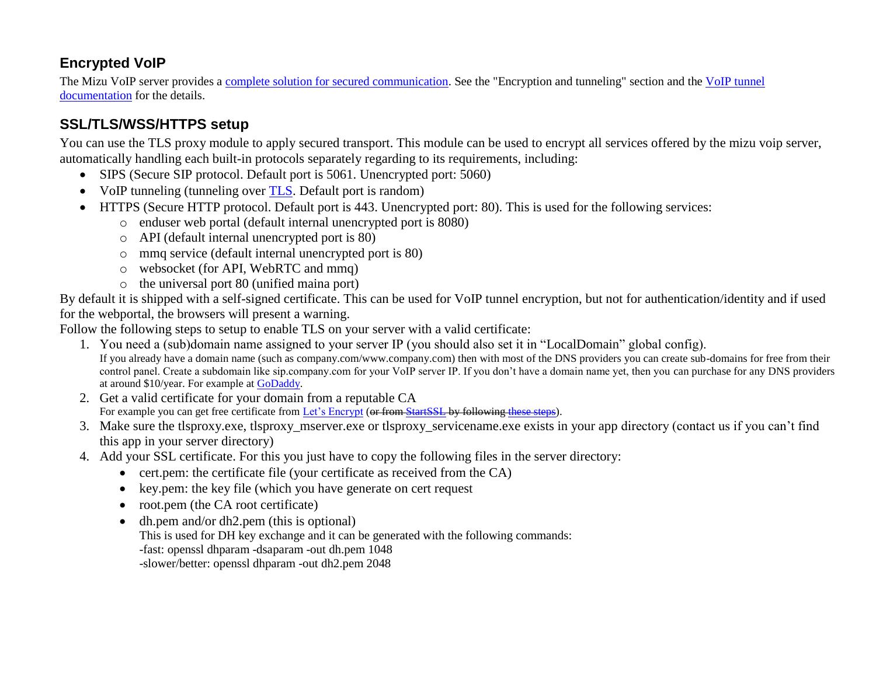## <span id="page-4-0"></span>**Encrypted VoIP**

The Mizu VoIP server provides a [complete solution for secured communication.](https://www.mizu-voip.com/Software/VoIPTunnel.aspx) See the "Encryption and tunneling" section and the [VoIP tunnel](https://www.mizu-voip.com/Portals/0/Files/MizuTunnelingGuide.pdf)  [documentation](https://www.mizu-voip.com/Portals/0/Files/MizuTunnelingGuide.pdf) for the details.

# <span id="page-4-1"></span>**SSL/TLS/WSS/HTTPS setup**

You can use the TLS proxy module to apply secured transport. This module can be used to encrypt all services offered by the mizu voip server, automatically handling each built-in protocols separately regarding to its requirements, including:

- SIPS (Secure SIP protocol. Default port is 5061. Unencrypted port: 5060)
- VoIP tunneling (tunneling over [TLS.](https://en.wikipedia.org/wiki/Transport_Layer_Security) Default port is random)
- HTTPS (Secure HTTP protocol. Default port is 443. Unencrypted port: 80). This is used for the following services:
	- o enduser web portal (default internal unencrypted port is 8080)
	- o API (default internal unencrypted port is 80)
	- o mmq service (default internal unencrypted port is 80)
	- o websocket (for API, WebRTC and mmq)
	- o the universal port 80 (unified maina port)

By default it is shipped with a self-signed certificate. This can be used for VoIP tunnel encryption, but not for authentication/identity and if used for the webportal, the browsers will present a warning.

Follow the following steps to setup to enable TLS on your server with a valid certificate:

- 1. You need a (sub)domain name assigned to your server IP (you should also set it in "LocalDomain" global config). If you already have a domain name (such as company.com/www.company.com) then with most of the DNS providers you can create sub-domains for free from their control panel. Create a subdomain like sip.company.com for your VoIP server IP. If you don't have a domain name yet, then you can purchase for any DNS providers at around \$10/year. For example at [GoDaddy.](https://godaddy.com/)
- 2. Get a valid certificate for your domain from a reputable CA For example you can get free certificate from [Let's Encrypt](https://www.sslforfree.com/) (or from [StartSSL](https://www.startssl.com/) by followin[g these steps\)](https://github.com/ioerror/duraconf/blob/master/startssl/README.markdown).
- 3. Make sure the tlsproxy.exe, tlsproxy mserver.exe or tlsproxy servicename.exe exists in your app directory (contact us if you can't find this app in your server directory)
- 4. Add your SSL certificate. For this you just have to copy the following files in the server directory:
	- cert.pem: the certificate file (your certificate as received from the CA)
	- key.pem: the key file (which you have generate on cert request
	- root.pem (the CA root certificate)
	- dh.pem and/or dh2.pem (this is optional) This is used for DH key exchange and it can be generated with the following commands: -fast: openssl dhparam -dsaparam -out dh.pem 1048 -slower/better: openssl dhparam -out dh2.pem 2048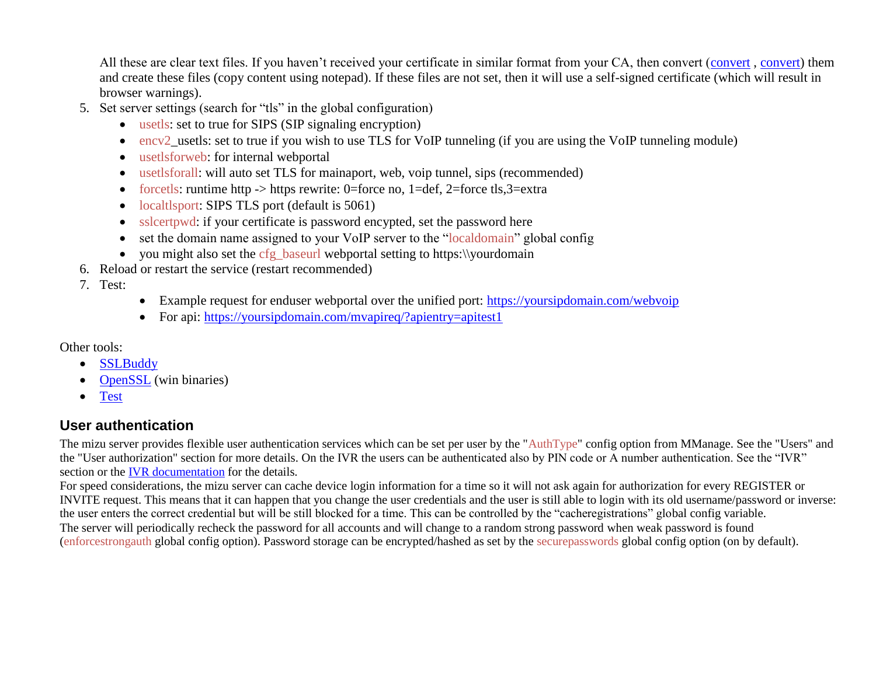All these are clear text files. If you haven't received your certificate in similar format from your CA, then convert [\(convert](https://www.sslshopper.com/ssl-converter.html), [convert\)](http://www.atozed.com/intraweb/docs/Deploy/SSL/ConvertingCertificates.aspx) them and create these files (copy content using notepad). If these files are not set, then it will use a self-signed certificate (which will result in browser warnings).

- 5. Set server settings (search for "tls" in the global configuration)
	- usetls: set to true for SIPS (SIP signaling encryption)
	- encv2 usetls: set to true if you wish to use TLS for VoIP tunneling (if you are using the VoIP tunneling module)
	- usetlsforweb: for internal webportal
	- usetlsforall: will auto set TLS for mainaport, web, voip tunnel, sips (recommended)
	- forcetls: runtime http  $\rightarrow$  https rewrite: 0=force no, 1=def, 2=force tls,3=extra
	- localtlsport: SIPS TLS port (default is 5061)
	- sslcertpwd: if your certificate is password encypted, set the password here
	- set the domain name assigned to your VoIP server to the "localdomain" global config
	- you might also set the cfg\_baseurl webportal setting to https:\\yourdomain
- 6. Reload or restart the service (restart recommended)
- 7. Test:
- Example request for enduser webportal over the unified port:<https://yoursipdomain.com/webvoip>
- For api:<https://yoursipdomain.com/mvapireq/?apientry=apitest1>

Other tools:

- **[SSLBuddy](http://sslbuddy.software.informer.com/download/)**
- [OpenSSL](https://www.openssl.org/) (win binaries)
- [Test](https://www.ssllabs.com/ssltest/)

#### <span id="page-5-0"></span>**User authentication**

The mizu server provides flexible user authentication services which can be set per user by the "AuthType" config option from MManage. See the "Users" and the "User authorization" section for more details. On the IVR the users can be authenticated also by PIN code or A number authentication. See the "IVR" section or the [IVR documentation](https://www.mizu-voip.com/Portals/0/Files/IVR.pdf) for the details.

For speed considerations, the mizu server can cache device login information for a time so it will not ask again for authorization for every REGISTER or INVITE request. This means that it can happen that you change the user credentials and the user is still able to login with its old username/password or inverse: the user enters the correct credential but will be still blocked for a time. This can be controlled by the "cacheregistrations" global config variable. The server will periodically recheck the password for all accounts and will change to a random strong password when weak password is found (enforcestrongauth global config option). Password storage can be encrypted/hashed as set by the securepasswords global config option (on by default).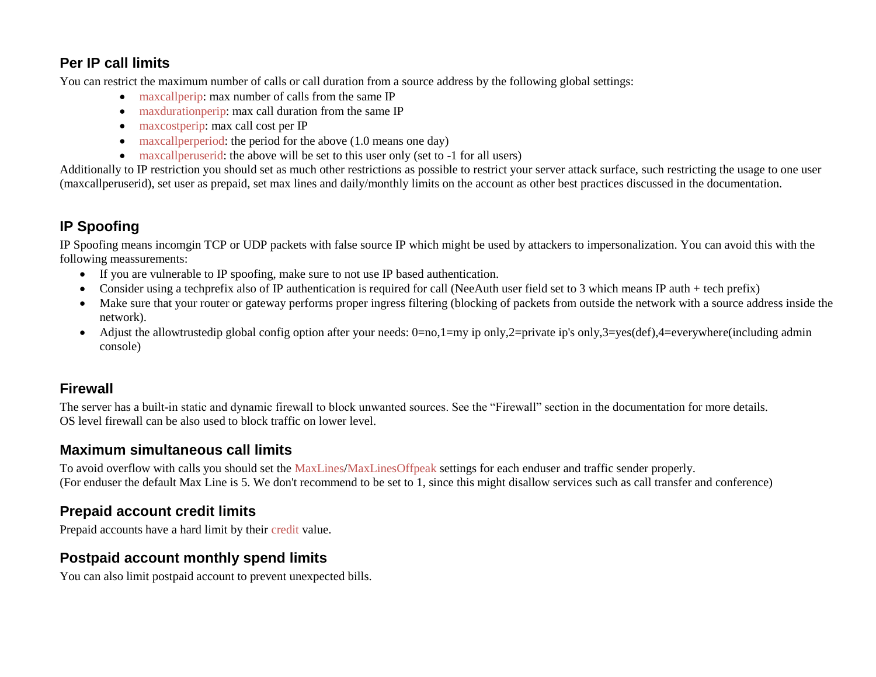#### <span id="page-6-0"></span>**Per IP call limits**

You can restrict the maximum number of calls or call duration from a source address by the following global settings:

- maxcallperip: max number of calls from the same IP
- maxdurationperip: max call duration from the same IP
- maxcostperip: max call cost per IP
- $\bullet$  maxcall perperiod: the period for the above (1.0 means one day)
- maxcall peruserid: the above will be set to this user only (set to -1 for all users)

Additionally to IP restriction you should set as much other restrictions as possible to restrict your server attack surface, such restricting the usage to one user (maxcallperuserid), set user as prepaid, set max lines and daily/monthly limits on the account as other best practices discussed in the documentation.

# <span id="page-6-1"></span>**IP Spoofing**

IP Spoofing means incomgin TCP or UDP packets with false source IP which might be used by attackers to impersonalization. You can avoid this with the following meassurements:

- If you are vulnerable to IP spoofing, make sure to not use IP based authentication.
- Consider using a techprefix also of IP authentication is required for call (NeeAuth user field set to 3 which means IP auth + tech prefix)
- Make sure that your router or gateway performs proper ingress filtering (blocking of packets from outside the network with a source address inside the network).
- Adjust the allowtrustedip global config option after your needs: 0=no,1=my ip only,2=private ip's only,3=yes(def),4=everywhere(including admin console)

#### <span id="page-6-2"></span>**Firewall**

The server has a built-in static and dynamic firewall to block unwanted sources. See the "Firewall" section in the documentation for more details. OS level firewall can be also used to block traffic on lower level.

#### <span id="page-6-3"></span>**Maximum simultaneous call limits**

To avoid overflow with calls you should set the MaxLines/MaxLinesOffpeak settings for each enduser and traffic sender properly. (For enduser the default Max Line is 5. We don't recommend to be set to 1, since this might disallow services such as call transfer and conference)

## <span id="page-6-4"></span>**Prepaid account credit limits**

Prepaid accounts have a hard limit by their credit value.

## <span id="page-6-5"></span>**Postpaid account monthly spend limits**

You can also limit postpaid account to prevent unexpected bills.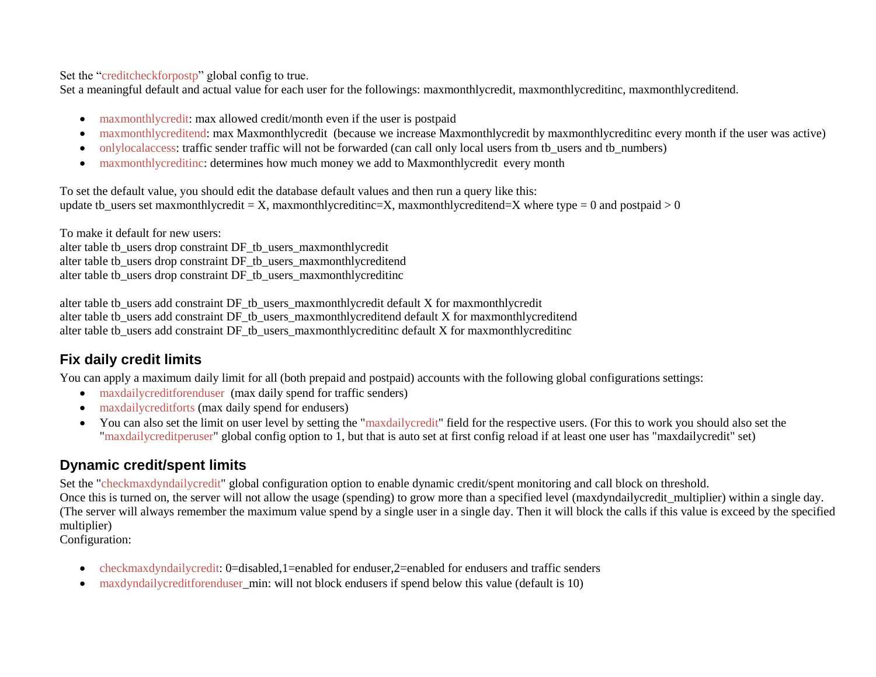Set the "creditcheckforpostp" global config to true.

Set a meaningful default and actual value for each user for the followings: maxmonthlycredit, maxmonthlycreditinc, maxmonthlycreditend.

- maxmonthlycredit: max allowed credit/month even if the user is postpaid
- maxmonthlycreditend: max Maxmonthlycredit (because we increase Maxmonthlycredit by maxmonthlycreditinc every month if the user was active)
- onlylocalaccess: traffic sender traffic will not be forwarded (can call only local users from tb\_users and tb\_numbers)
- maxmonthlycreditinc: determines how much money we add to Maxmonthlycredit every month

To set the default value, you should edit the database default values and then run a query like this: update tb\_users set maxmonthlycredit = X, maxmonthlycreditinc=X, maxmonthlycreditend=X where type = 0 and postpaid > 0

To make it default for new users: alter table tb\_users drop constraint DF\_tb\_users\_maxmonthlycredit alter table tb\_users drop constraint DF\_tb\_users\_maxmonthlycreditend alter table tb\_users drop constraint DF\_tb\_users\_maxmonthlycreditinc

alter table tb\_users add constraint DF\_tb\_users\_maxmonthlycredit default X for maxmonthlycredit alter table tb\_users add constraint DF\_tb\_users\_maxmonthlycreditend default X for maxmonthlycreditend alter table tb\_users add constraint DF\_tb\_users\_maxmonthlycreditinc default X for maxmonthlycreditinc

#### <span id="page-7-0"></span>**Fix daily credit limits**

You can apply a maximum daily limit for all (both prepaid and postpaid) accounts with the following global configurations settings:

- maxdailycreditforenduser (max daily spend for traffic senders)
- maxdailycreditforts (max daily spend for endusers)
- You can also set the limit on user level by setting the "maxdailycredit" field for the respective users. (For this to work you should also set the "maxdailycreditperuser" global config option to 1, but that is auto set at first config reload if at least one user has "maxdailycredit" set)

## <span id="page-7-1"></span>**Dynamic credit/spent limits**

Set the "checkmaxdyndailycredit" global configuration option to enable dynamic credit/spent monitoring and call block on threshold. Once this is turned on, the server will not allow the usage (spending) to grow more than a specified level (maxdyndailycredit multiplier) within a single day. (The server will always remember the maximum value spend by a single user in a single day. Then it will block the calls if this value is exceed by the specified multiplier)

Configuration:

- checkmaxdyndailycredit: 0=disabled,1=enabled for enduser,2=enabled for endusers and traffic senders
- maxdyndailycreditforenduser min: will not block endusers if spend below this value (default is 10)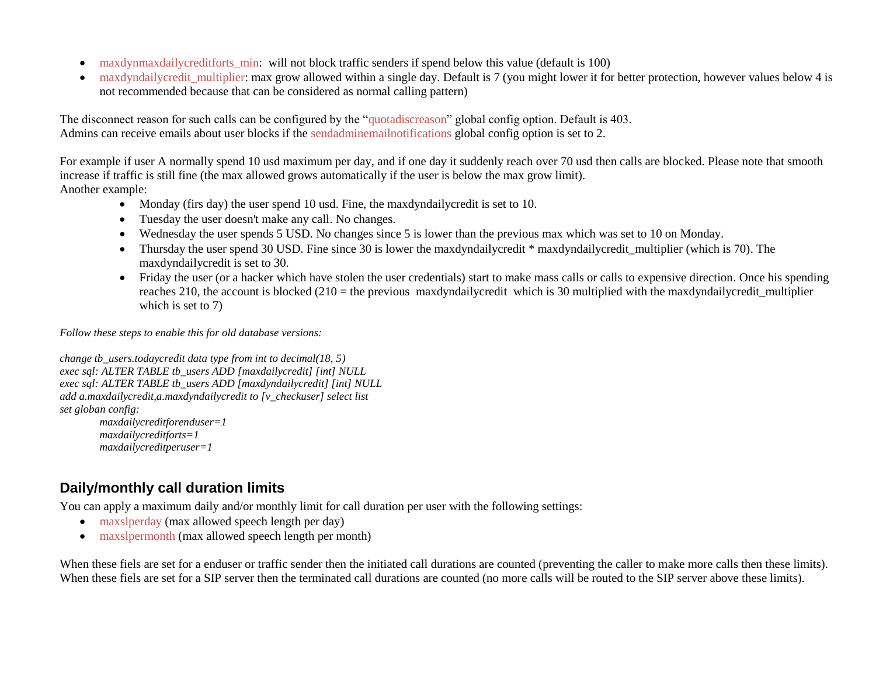- maxdynmaxdailycreditforts min: will not block traffic senders if spend below this value (default is 100)
- maxdyndailycredit multiplier: max grow allowed within a single day. Default is 7 (you might lower it for better protection, however values below 4 is not recommended because that can be considered as normal calling pattern)

The disconnect reason for such calls can be configured by the "quotadiscreason" global config option. Default is 403. Admins can receive emails about user blocks if the sendadminemailnotifications global config option is set to 2.

For example if user A normally spend 10 usd maximum per day, and if one day it suddenly reach over 70 usd then calls are blocked. Please note that smooth increase if traffic is still fine (the max allowed grows automatically if the user is below the max grow limit). Another example:

- Monday (firs day) the user spend 10 usd. Fine, the maxdyndailycredit is set to 10.
- Tuesday the user doesn't make any call. No changes.
- Wednesday the user spends 5 USD. No changes since 5 is lower than the previous max which was set to 10 on Monday.
- Thursday the user spend 30 USD. Fine since 30 is lower the maxdyndailycredit \* maxdyndailycredit multiplier (which is 70). The maxdyndailycredit is set to 30.
- Friday the user (or a hacker which have stolen the user credentials) start to make mass calls or calls to expensive direction. Once his spending reaches 210, the account is blocked (210 = the previous maxdyndailycredit which is 30 multiplied with the maxdyndailycredit\_multiplier which is set to 7)

*Follow these steps to enable this for old database versions:*

```
change tb_users.todaycredit data type from int to decimal(18, 5)
exec sql: ALTER TABLE tb_users ADD [maxdailycredit] [int] NULL
exec sql: ALTER TABLE tb_users ADD [maxdyndailycredit] [int] NULL
add a.maxdailycredit,a.maxdyndailycredit to [v_checkuser] select list
set globan config:
        maxdailycreditforenduser=1
        maxdailycreditforts=1
        maxdailycreditperuser=1
```
# <span id="page-8-0"></span>**Daily/monthly call duration limits**

You can apply a maximum daily and/or monthly limit for call duration per user with the following settings:

- maxslperday (max allowed speech length per day)
- maxslpermonth (max allowed speech length per month)

When these fiels are set for a enduser or traffic sender then the initiated call durations are counted (preventing the caller to make more calls then these limits). When these fiels are set for a SIP server then the terminated call durations are counted (no more calls will be routed to the SIP server above these limits).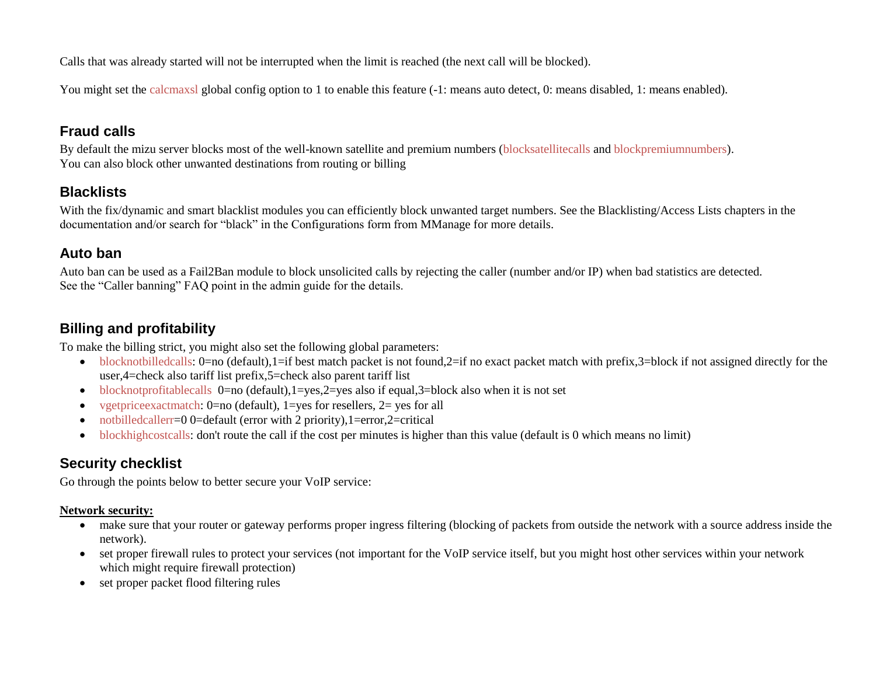Calls that was already started will not be interrupted when the limit is reached (the next call will be blocked).

You might set the calcmaxsl global config option to 1 to enable this feature  $(-1)$ : means auto detect, 0: means disabled, 1: means enabled).

#### <span id="page-9-0"></span>**Fraud calls**

By default the mizu server blocks most of the well-known satellite and premium numbers (blocksatellitecalls and blockpremiumnumbers). You can also block other unwanted destinations from routing or billing

#### <span id="page-9-1"></span>**Blacklists**

With the fix/dynamic and smart blacklist modules you can efficiently block unwanted target numbers. See the Blacklisting/Access Lists chapters in the documentation and/or search for "black" in the Configurations form from MManage for more details.

#### <span id="page-9-2"></span>**Auto ban**

Auto ban can be used as a Fail2Ban module to block unsolicited calls by rejecting the caller (number and/or IP) when bad statistics are detected. See the "Caller banning" FAQ point in the admin guide for the details.

#### <span id="page-9-3"></span>**Billing and profitability**

To make the billing strict, you might also set the following global parameters:

- blocknotbilledcalls: 0=no (default),1=if best match packet is not found,2=if no exact packet match with prefix,3=block if not assigned directly for the user,4=check also tariff list prefix,5=check also parent tariff list
- blocknotprofitablecalls 0=no (default),1=yes,2=yes also if equal,3=block also when it is not set
- vgetpriceexactmatch: 0=no (default), 1=yes for resellers, 2= yes for all
- notbilledcallerr=0 0=default (error with 2 priority), 1=error, 2=critical
- blockhighcostcalls: don't route the call if the cost per minutes is higher than this value (default is 0 which means no limit)

## <span id="page-9-4"></span>**Security checklist**

Go through the points below to better secure your VoIP service:

#### **Network security:**

- make sure that your router or gateway performs proper ingress filtering (blocking of packets from outside the network with a source address inside the network).
- set proper firewall rules to protect your services (not important for the VoIP service itself, but you might host other services within your network which might require firewall protection)
- set proper packet flood filtering rules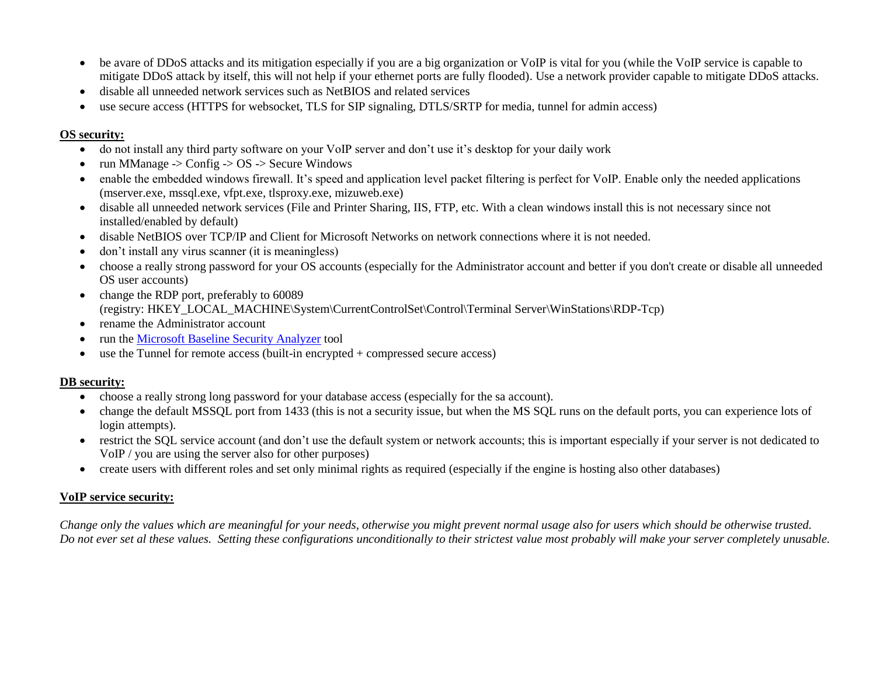- be avare of DDoS attacks and its mitigation especially if you are a big organization or VoIP is vital for you (while the VoIP service is capable to mitigate DDoS attack by itself, this will not help if your ethernet ports are fully flooded). Use a network provider capable to mitigate DDoS attacks.
- disable all unneeded network services such as NetBIOS and related services
- use secure access (HTTPS for websocket, TLS for SIP signaling, DTLS/SRTP for media, tunnel for admin access)

#### **OS security:**

- do not install any third party software on your VoIP server and don't use it's desktop for your daily work
- run MManage -> Config -> OS -> Secure Windows
- enable the embedded windows firewall. It's speed and application level packet filtering is perfect for VoIP. Enable only the needed applications (mserver.exe, mssql.exe, vfpt.exe, tlsproxy.exe, mizuweb.exe)
- disable all unneeded network services (File and Printer Sharing, IIS, FTP, etc. With a clean windows install this is not necessary since not installed/enabled by default)
- disable NetBIOS over TCP/IP and Client for Microsoft Networks on network connections where it is not needed.
- don't install any virus scanner (it is meaningless)
- choose a really strong password for your OS accounts (especially for the Administrator account and better if you don't create or disable all unneeded OS user accounts)
- change the RDP port, preferably to 60089 (registry: HKEY\_LOCAL\_MACHINE\System\CurrentControlSet\Control\Terminal Server\WinStations\RDP-Tcp)
- rename the Administrator account
- run the [Microsoft Baseline Security Analyzer](https://www.google.com/search?q=Microsoft+Baseline+Security+Analyzer) tool
- use the Tunnel for remote access (built-in encrypted + compressed secure access)

#### **DB security:**

- choose a really strong long password for your database access (especially for the sa account).
- change the default MSSQL port from 1433 (this is not a security issue, but when the MS SQL runs on the default ports, you can experience lots of login attempts).
- restrict the SQL service account (and don't use the default system or network accounts; this is important especially if your server is not dedicated to VoIP / you are using the server also for other purposes)
- create users with different roles and set only minimal rights as required (especially if the engine is hosting also other databases)

#### **VoIP service security:**

*Change only the values which are meaningful for your needs, otherwise you might prevent normal usage also for users which should be otherwise trusted. Do not ever set al these values. Setting these configurations unconditionally to their strictest value most probably will make your server completely unusable.*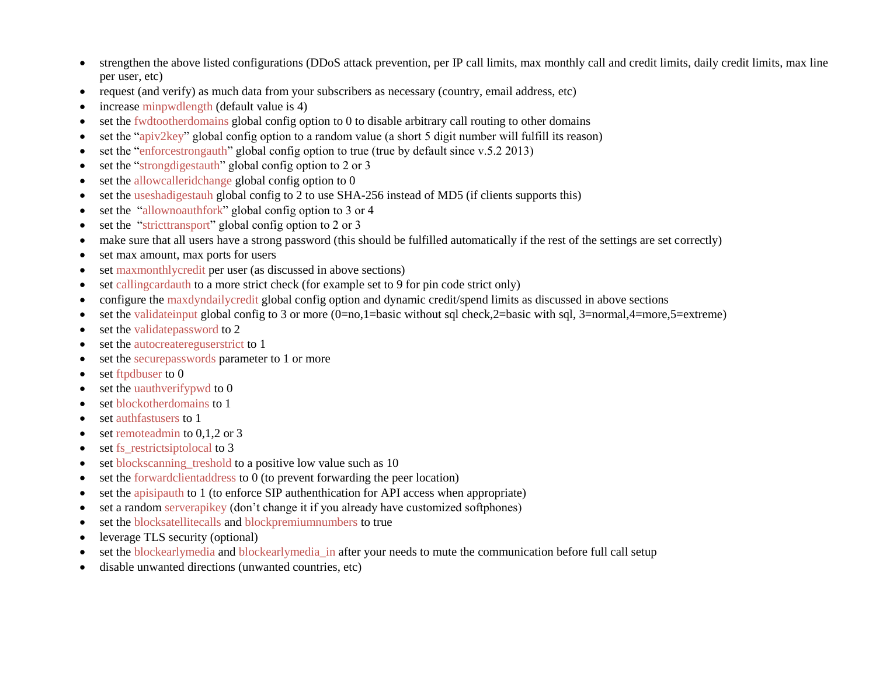- strengthen the above listed configurations (DDoS attack prevention, per IP call limits, max monthly call and credit limits, daily credit limits, max line per user, etc)
- request (and verify) as much data from your subscribers as necessary (country, email address, etc)
- increase minpwdlength (default value is 4)
- set the fwdtootherdomains global config option to 0 to disable arbitrary call routing to other domains
- set the "apiv2key" global config option to a random value (a short 5 digit number will fulfill its reason)
- set the "enforcestrongauth" global config option to true (true by default since v.5.2 2013)
- set the "strongdigestauth" global config option to 2 or 3
- set the allowcalleridchange global config option to 0
- set the useshadigestauh global config to 2 to use SHA-256 instead of MD5 (if clients supports this)
- set the "allownoauthfork" global config option to 3 or 4
- set the "stricttransport" global config option to 2 or 3
- make sure that all users have a strong password (this should be fulfilled automatically if the rest of the settings are set correctly)
- set max amount, max ports for users
- set maxmonthlycredit per user (as discussed in above sections)
- set callingcardauth to a more strict check (for example set to 9 for pin code strict only)
- configure the maxdyndailycredit global config option and dynamic credit/spend limits as discussed in above sections
- $\bullet$  set the validateinput global config to 3 or more (0=no,1=basic without sql check,2=basic with sql, 3=normal,4=more,5=extreme)
- set the validatepassword to 2
- set the autocreatereguserstrict to 1
- set the securepasswords parameter to 1 or more
- set ftpdbuser to 0
- set the uauthverifypwd to 0
- set blockotherdomains to 1
- set authfastusers to 1
- set remoteadmin to 0,1,2 or 3
- set fs\_restrictsiptolocal to 3
- set blockscanning treshold to a positive low value such as 10
- set the forwardclientaddress to 0 (to prevent forwarding the peer location)
- set the apisipauth to 1 (to enforce SIP authenthication for API access when appropriate)
- set a random serverapikey (don't change it if you already have customized softphones)
- set the blocksatellitecalls and blockpremiumnumbers to true
- leverage TLS security (optional)
- set the blockearlymedia and blockearlymedia\_in after your needs to mute the communication before full call setup
- disable unwanted directions (unwanted countries, etc)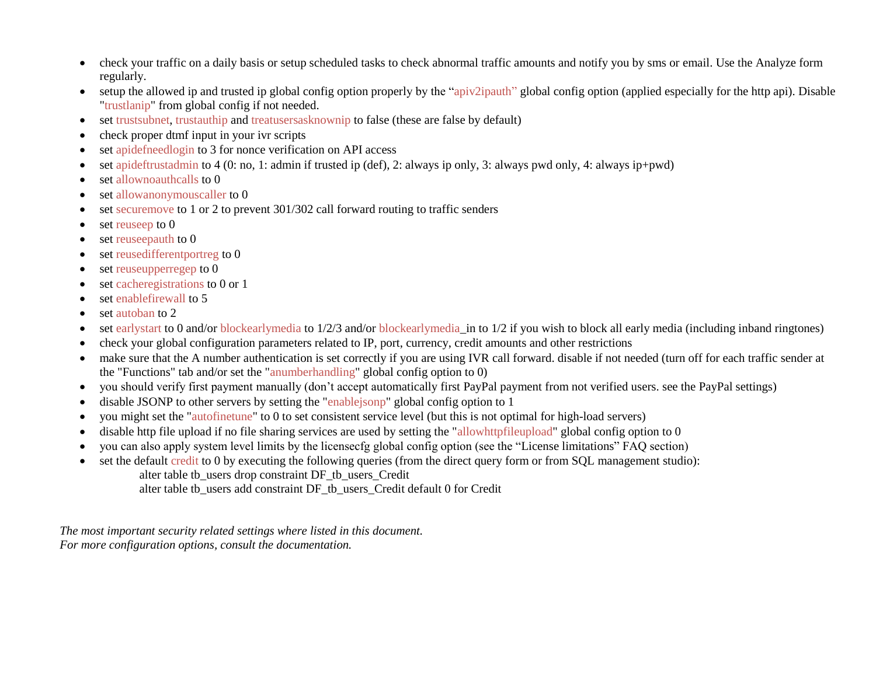- check your traffic on a daily basis or setup scheduled tasks to check abnormal traffic amounts and notify you by sms or email. Use the Analyze form regularly.
- setup the allowed ip and trusted ip global config option properly by the "apiv2ipauth" global config option (applied especially for the http api). Disable "trustlanip" from global config if not needed.
- set trustsubnet, trustauthip and treatusersasknownip to false (these are false by default)
- check proper dtmf input in your ivr scripts
- set apidefneedlogin to 3 for nonce verification on API access
- set apideftrustadmin to 4 (0: no, 1: admin if trusted ip (def), 2: always ip only, 3: always pwd only, 4: always ip+pwd)
- set allownoauthcalls to 0
- set allowanonymouscaller to 0
- set securemove to 1 or 2 to prevent 301/302 call forward routing to traffic senders
- $\bullet$  set reuseep to 0
- set reuseepauth to 0
- set reusedifferentportreg to 0
- set reuseupperregep to 0
- set cacheregistrations to 0 or 1
- set enablefirewall to 5
- set autoban to 2
- set earlystart to 0 and/or blockearlymedia to 1/2/3 and/or blockearlymedia\_in to 1/2 if you wish to block all early media (including inband ringtones)
- check your global configuration parameters related to IP, port, currency, credit amounts and other restrictions
- make sure that the A number authentication is set correctly if you are using IVR call forward. disable if not needed (turn off for each traffic sender at the "Functions" tab and/or set the "anumberhandling" global config option to 0)
- you should verify first payment manually (don't accept automatically first PayPal payment from not verified users. see the PayPal settings)
- disable JSONP to other servers by setting the "enablejsonp" global config option to 1
- you might set the "autofinetune" to 0 to set consistent service level (but this is not optimal for high-load servers)
- disable http file upload if no file sharing services are used by setting the "allowhttpfileupload" global config option to 0
- you can also apply system level limits by the licensecfg global config option (see the "License limitations" FAQ section)
- set the default credit to 0 by executing the following queries (from the direct query form or from SQL management studio): alter table tb\_users drop constraint DF\_tb\_users\_Credit
	- alter table tb\_users add constraint DF\_tb\_users\_Credit default 0 for Credit

*The most important security related settings where listed in this document. For more configuration options, consult the documentation.*